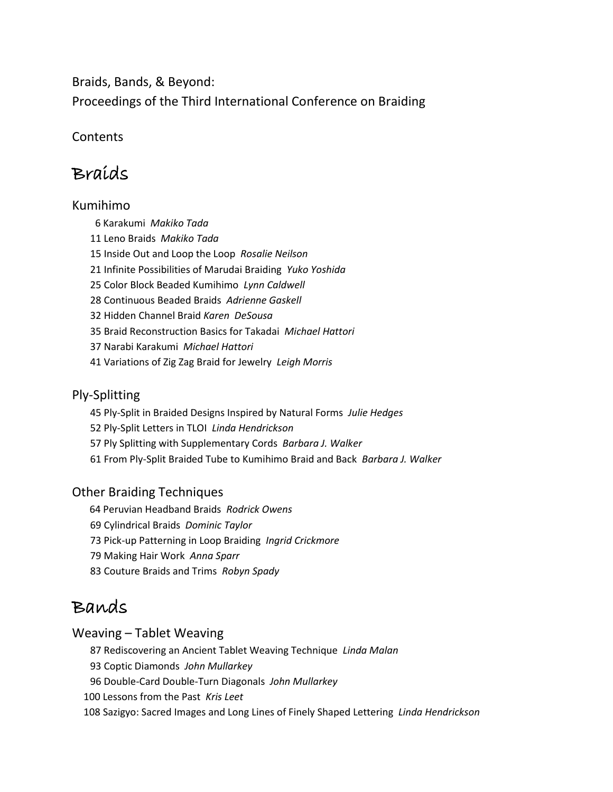Braids, Bands, & Beyond: Proceedings of the Third International Conference on Braiding

**Contents** 

# Braids

## Kumihimo

6 Karakumi *Makiko Tada*  11 Leno Braids *Makiko Tada* 15 Inside Out and Loop the Loop *Rosalie Neilson* 21 Infinite Possibilities of Marudai Braiding *Yuko Yoshida* 25 Color Block Beaded Kumihimo *Lynn Caldwell* 28 Continuous Beaded Braids *Adrienne Gaskell* 32 Hidden Channel Braid *Karen DeSousa* 35 Braid Reconstruction Basics for Takadai *Michael Hattori* 37 Narabi Karakumi *Michael Hattori* 41 Variations of Zig Zag Braid for Jewelry *Leigh Morris*

### Ply-Splitting

45 Ply-Split in Braided Designs Inspired by Natural Forms *Julie Hedges*

52 Ply-Split Letters in TLOI *Linda Hendrickson*

- 57 Ply Splitting with Supplementary Cords *Barbara J. Walker*
- 61 From Ply-Split Braided Tube to Kumihimo Braid and Back *Barbara J. Walker*

## Other Braiding Techniques

- 64 Peruvian Headband Braids *Rodrick Owens*
- 69 Cylindrical Braids *Dominic Taylor*
- 73 Pick-up Patterning in Loop Braiding *Ingrid Crickmore*
- 79 Making Hair Work *Anna Sparr*
- 83 Couture Braids and Trims *Robyn Spady*

# Bands

## Weaving – Tablet Weaving

87 Rediscovering an Ancient Tablet Weaving Technique *Linda Malan*

93 Coptic Diamonds *John Mullarkey*

96 Double-Card Double-Turn Diagonals *John Mullarkey*

100 Lessons from the Past *Kris Leet*

108 Sazigyo: Sacred Images and Long Lines of Finely Shaped Lettering *Linda Hendrickson*